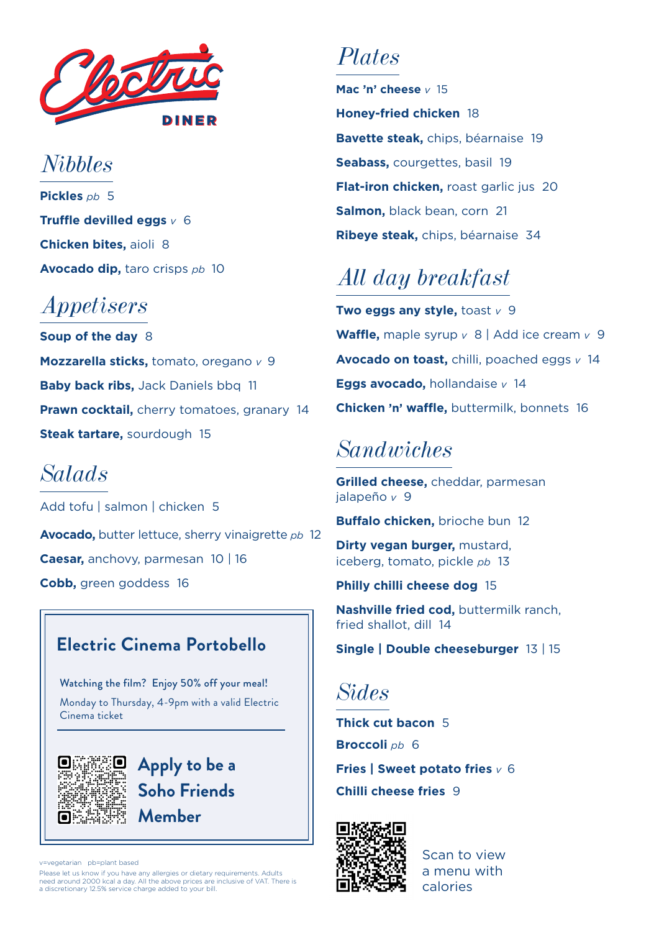

*Nibbles* **Pickles** *pb* 5 **Truffle devilled eggs** *v* 6 **Chicken bites,** aioli 8 **Avocado dip,** taro crisps *pb* 10

### *Appetisers*

**Soup of the day** 8 **Mozzarella sticks,** tomato, oregano *v* 9 **Baby back ribs, Jack Daniels bbq 11 Prawn cocktail, cherry tomatoes, granary 14 Steak tartare,** sourdough 15

### *Salads*

**Avocado,** butter lettuce, sherry vinaigrette *pb* 12 **Caesar,** anchovy, parmesan10 | 16 **Cobb,** green goddess 16 Add tofu | salmon | chicken 5

### **Electric Cinema Portobello**

Watching the film? Enjoy 50% off your meal! Monday to Thursday, 4-9pm with a valid Electric Cinema ticket



**Apply to be a Soho Friends Member**

vegetarian pb=plant based

Please let us know if you have any allergies or dietary requirements. Adults need around 2000 kcal a day. All the above prices are inclusive of VAT. There is a discretionary 12.5% service charge added to your bill.

### *Plates*

**Mac 'n' cheese** *v* 15 **Honey-fried chicken** 18 **Bavette steak,** chips, béarnaise 19 **Seabass,** courgettes, basil 19 **Flat-iron chicken, roast garlic jus 20 Salmon,** black bean, corn 21 **Ribeye steak,** chips, béarnaise 34

## *All day breakfast*

**Two eggs any style,**  $\text{toast } v$  **9 Waffle,** maple syrup *v* 8 | Add ice cream *v* 9 **Avocado on toast,** chilli, poached eggs *v* 14 **Eggs avocado,** hollandaise *v* 14 **Chicken 'n' waffle,** buttermilk, bonnets 16

### *Sandwiches*

**Grilled cheese,** cheddar, parmesan jalapeño *v* 9

**Buffalo chicken,** brioche bun 12

**Dirty vegan burger, mustard.** iceberg, tomato, pickle *pb* 13

**Philly chilli cheese dog** 15

**Nashville fried cod,** buttermilk ranch, fried shallot, dill 14

**Single | Double cheeseburger** 13 | 15

*Sides*

**Thick cut bacon** 5 **Broccoli** *pb* 6 **Fries | Sweet potato fries** *v* 6 **Chilli cheese fries** 9



Scan to view a menu with calories